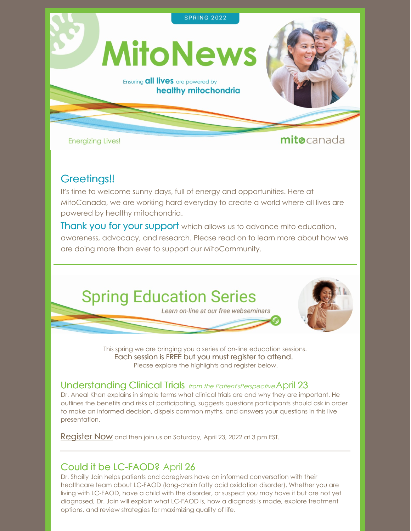

### Greetings!!

It's time to welcome sunny days, full of energy and opportunities. Here at MitoCanada, we are working hard everyday to create a world where all lives are powered by healthy mitochondria.

**Thank you for your support** which allows us to advance mito education, awareness, advocacy, and research. Please read on to learn more about how we are doing more than ever to support our MitoCommunity.

## **Spring Education Series**

Learn on-line at our free webseminars



This spring we are bringing you a series of on-line education sessions. Each session is FREE but you must register to [attend.](https://mitocanada.org/education-events/) Please explore the highlights and register below.

### Understanding Clinical Trials *from the Patient'sPerspective* April 23

Dr. Aneal Khan explains in simple terms what clinical trials are and why they are important. He outlines the benefits and risks of participating, suggests questions participants should ask in order to make an informed decision, dispels common myths, and answers your questions in this live presentation.

**[Register](https://us02web.zoom.us/webinar/register/WN_qO_8cq01RCy0iBvevcRMFQ) Now** and then join us on Saturday, April 23, 2022 at 3 pm EST.

### Could it be LC-FAOD? April 26

Dr. Shailly Jain helps patients and caregivers have an informed conversation with their healthcare team about LC-FAOD (long-chain fatty acid oxidation disorder). Whether you are living with LC-FAOD, have a child with the disorder, or suspect you may have it but are not yet diagnosed, Dr. Jain will explain what LC-FAOD is, how a diagnosis is made, explore treatment options, and review strategies for maximizing quality of life.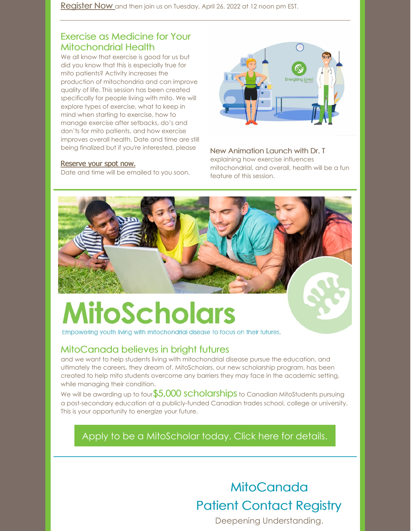[Register](https://us02web.zoom.us/webinar/register/WN_Qv9QE9i3Qtq9v_gOLuoVQA) Now and then join us on Tuesday, April 26, 2022 at 12 noon pm EST.

### Exercise as Medicine for Your Mitochondrial Health

We all know that exercise is good for us but did you know that this is especially true for mito patients? Activity increases the production of mitochondria and can improve quality of life. This session has been created specifically for people living with mito. We will explore types of exercise, what to keep in mind when starting to exercise, how to manage exercise after setbacks, do's and don'ts for mito patients, and how exercise improves overall health. Date and time are still being finalized but if you're interested, please

#### [Reserve](https://us02web.zoom.us/webinar/register/WN_w4cM2ZZES7WmMI374i3giA) your spot now.

Date and time will be emailed to you soon.



New Animation Launch with Dr. T explaining how exercise influences mitochondrial, and overall, health will be a fun feature of this session.

# **MitoScholars**

Empowering youth living with mitochondrial disease to focus on their futures.

### MitoCanada believes in bright futures

and we want to help students living with mitochondrial disease pursue the education, and ultimately the careers, they dream of. MitoScholars, our new scholarship program, has been created to help mito students overcome any barriers they may face in the academic setting, while managing their condition.

We will be awarding up to four \$5,000 scholarships to Canadian MitoStudents pursuing a post-secondary education at a publicly-funded Canadian trades school, college or university. This is your opportunity to energize your future.

Apply to be a [MitoScholar](https://mitocanada.org/mitoscholars/) today. Click here for details.

### **[MitoCanada](https://mitocanada.org/patient-contact-registry/)** Patient [Contact](https://mitocanada.org/patient-contact-registry/) Registry

Deepening Understanding.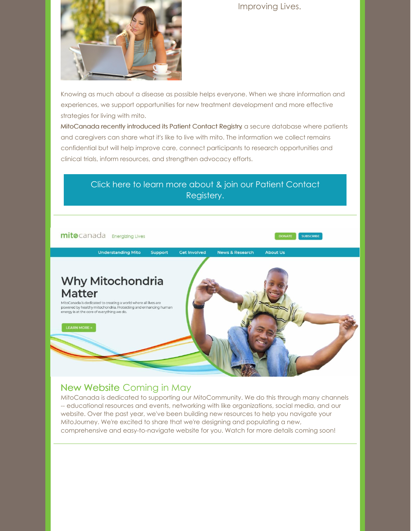Improving Lives.



Knowing as much about a disease as possible helps everyone. When we share information and experiences, we support opportunities for new treatment development and more effective strategies for living with mito.

MitoCanada recently introduced its Patient Contact Registry, a secure database where patients and caregivers can share what it's like to live with mito. The information we collect remains confidential but will help improve care, connect participants to research opportunities and clinical trials, inform resources, and strengthen advocacy efforts.



### New Website Coming in May

MitoCanada is dedicated to supporting our MitoCommunity. We do this through many channels -- educational resources and events, networking with like organizations, social media, and our website. Over the past year, we've been building new resources to help you navigate your MitoJourney. We're excited to share that we're designing and populating a new, comprehensive and easy-to-navigate website for you. Watch for more details coming soon!